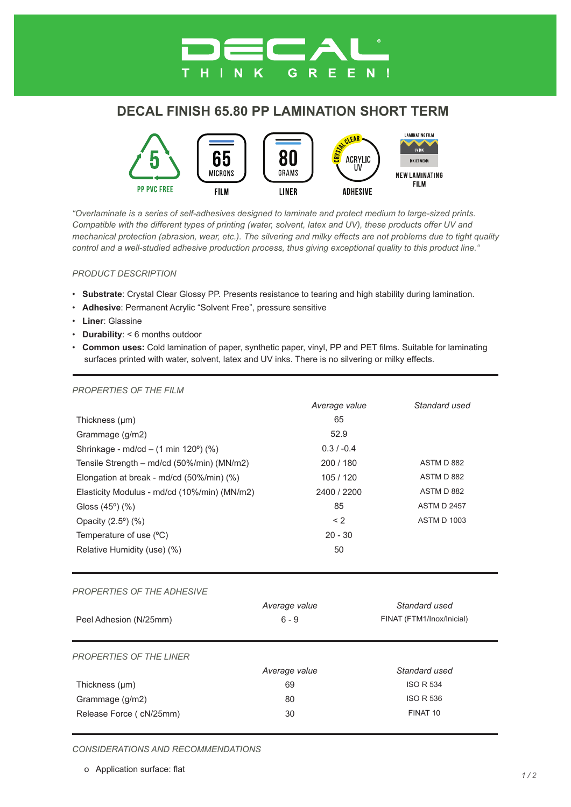# **DECAL FINISH 65.80 PP LAMINATION SHORT TERM**

G

R

E Е



*"Overlaminate is a series of self-adhesives designed to laminate and protect medium to large-sized prints. Compatible with the different types of printing (water, solvent, latex and UV), these products offer UV and mechanical protection (abrasion, wear, etc.). The silvering and milky effects are not problems due to tight quality control and a well-studied adhesive production process, thus giving exceptional quality to this product line."*

#### *PRODUCT DESCRIPTION*

- **Substrate**: Crystal Clear Glossy PP. Presents resistance to tearing and high stability during lamination.
- **Adhesive**: Permanent Acrylic "Solvent Free", pressure sensitive
- **Liner**: Glassine
- **Durability**: < 6 months outdoor
- **Common uses:** Cold lamination of paper, synthetic paper, vinyl, PP and PET films. Suitable for laminating surfaces printed with water, solvent, latex and UV inks. There is no silvering or milky effects.

| , NOI LINTILO OI THL I ILIVI                 |               |                           |
|----------------------------------------------|---------------|---------------------------|
|                                              | Average value | Standard used             |
| Thickness $(\mu m)$                          | 65            |                           |
| Grammage (g/m2)                              | 52.9          |                           |
| Shrinkage - md/cd - (1 min 120°) (%)         | $0.3 / -0.4$  |                           |
| Tensile Strength - md/cd (50%/min) (MN/m2)   | 200 / 180     | ASTM D 882                |
| Elongation at break - md/cd (50%/min) (%)    | 105 / 120     | ASTM D 882                |
| Elasticity Modulus - md/cd (10%/min) (MN/m2) | 2400 / 2200   | ASTM D 882                |
| Gloss $(45^{\circ})$ $(\%)$                  | 85            | <b>ASTM D 2457</b>        |
| Opacity (2.5°) (%)                           | < 2           | <b>ASTM D 1003</b>        |
| Temperature of use (°C)                      | $20 - 30$     |                           |
| Relative Humidity (use) (%)                  | 50            |                           |
|                                              |               |                           |
| PROPERTIES OF THE ADHESIVE                   |               |                           |
|                                              | Average value | Standard used             |
| Peel Adhesion (N/25mm)                       | $6 - 9$       | FINAT (FTM1/Inox/Inicial) |
|                                              |               |                           |
| <b>PROPERTIES OF THE LINER</b>               |               |                           |
|                                              | Average value | Standard used             |
| Thickness (µm)                               | 69            | <b>ISO R 534</b>          |
| Grammage (g/m2)                              | 80            | <b>ISO R 536</b>          |
| Release Force ( cN/25mm)                     | 30            | FINAT <sub>10</sub>       |
|                                              |               |                           |
|                                              |               |                           |

### *PROPERTIES OF THE FILM*

*CONSIDERATIONS AND RECOMMENDATIONS*